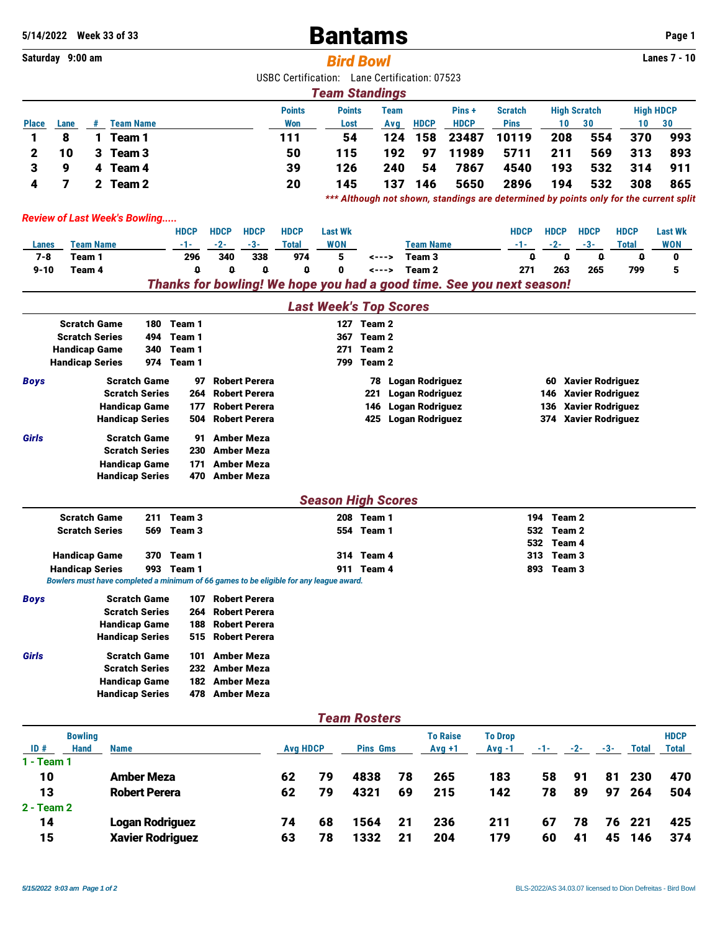## **5**/14/2022 Week 33 of 33 **Bantams Page 1**

|              | Saturday 9:00 am                                                                          |                  |                        |     |                                                                                        |                                        |                      |                 |                                               | <b>Bird Bowl</b>    |             |                        |                                                                       |                |              |                   |                         |                     | <b>Lanes 7 - 10</b>                                                                   |
|--------------|-------------------------------------------------------------------------------------------|------------------|------------------------|-----|----------------------------------------------------------------------------------------|----------------------------------------|----------------------|-----------------|-----------------------------------------------|---------------------|-------------|------------------------|-----------------------------------------------------------------------|----------------|--------------|-------------------|-------------------------|---------------------|---------------------------------------------------------------------------------------|
|              |                                                                                           |                  |                        |     |                                                                                        |                                        |                      |                 | USBC Certification: Lane Certification: 07523 |                     |             |                        |                                                                       |                |              |                   |                         |                     |                                                                                       |
|              |                                                                                           |                  |                        |     |                                                                                        |                                        |                      |                 | <b>Team Standings</b>                         |                     |             |                        |                                                                       |                |              |                   |                         |                     |                                                                                       |
|              |                                                                                           |                  |                        |     |                                                                                        |                                        |                      | <b>Points</b>   | <b>Points</b>                                 |                     | <b>Team</b> |                        | Pins +                                                                | <b>Scratch</b> |              |                   | <b>High Scratch</b>     |                     | <b>High HDCP</b>                                                                      |
| <b>Place</b> | Lane                                                                                      | #                | <b>Team Name</b>       |     |                                                                                        |                                        |                      | <b>Won</b>      | Lost                                          |                     | Avg         | <b>HDCP</b>            | <b>HDCP</b>                                                           | <b>Pins</b>    |              | 10                | 30                      | 10 <sup>°</sup>     | 30                                                                                    |
| 1            | 8                                                                                         | $\mathbf{1}$     | Team 1                 |     |                                                                                        |                                        |                      | 111             |                                               | 54                  | 124         | 158                    | 23487                                                                 | 10119          |              | 208               | 554                     | 370                 | 993                                                                                   |
| 2            | 10                                                                                        | 3                | Team 3                 |     |                                                                                        |                                        |                      | 50              | 115                                           |                     | 192         | 97                     | 11989                                                                 | 5711           |              | 211               | 569                     | 313                 | 893                                                                                   |
| 3            | 9                                                                                         | 4                | Team 4                 |     |                                                                                        |                                        |                      | 39              | 126                                           |                     | 240         | 54                     | 7867                                                                  | 4540           |              | 193               | 532                     | 314                 | 911                                                                                   |
| 4            | 7                                                                                         | 2.               | Team <sub>2</sub>      |     |                                                                                        |                                        |                      | 20              | 145                                           |                     | 137         | 146                    | 5650                                                                  | 2896           |              | 194               | 532                     | 308                 | 865                                                                                   |
|              |                                                                                           |                  |                        |     |                                                                                        |                                        |                      |                 |                                               |                     |             |                        |                                                                       |                |              |                   |                         |                     | *** Although not shown, standings are determined by points only for the current split |
|              | <b>Review of Last Week's Bowling</b>                                                      |                  |                        |     |                                                                                        |                                        |                      |                 |                                               |                     |             |                        |                                                                       |                |              |                   |                         |                     |                                                                                       |
|              |                                                                                           |                  |                        |     | HDCP                                                                                   | <b>HDCP</b>                            | <b>HDCP</b>          | <b>HDCP</b>     | <b>Last Wk</b>                                |                     |             |                        |                                                                       | <b>HDCP</b>    |              | <b>HDCP</b>       | <b>HDCP</b>             | <b>HDCP</b>         | <b>Last Wk</b>                                                                        |
| Lanes        |                                                                                           | <b>Team Name</b> |                        |     | -1-                                                                                    | $-2-$                                  | $-3-$                | <b>Total</b>    | <b>WON</b>                                    |                     |             | <b>Team Name</b>       |                                                                       | -1-            |              | $-2-$             | $-3-$                   | <b>Total</b>        | <b>WON</b>                                                                            |
| $7 - 8$      | Team 1                                                                                    |                  |                        |     | 296                                                                                    | 340                                    | 338                  | 974             | 5                                             | <--->               |             | Team <sub>3</sub>      |                                                                       |                | $\mathbf{0}$ | $\mathbf{0}$      | $\mathbf{0}$            | o                   | 0                                                                                     |
| $9 - 10$     | Team 4                                                                                    |                  |                        |     | o                                                                                      | 0                                      | $\mathbf{0}$         | $\mathbf 0$     | 0                                             | <--->               |             | Team <sub>2</sub>      |                                                                       |                | 271          | 263               | 265                     | 799                 | 5                                                                                     |
|              |                                                                                           |                  |                        |     |                                                                                        |                                        |                      |                 |                                               |                     |             |                        | Thanks for bowling! We hope you had a good time. See you next season! |                |              |                   |                         |                     |                                                                                       |
|              |                                                                                           |                  |                        |     |                                                                                        |                                        |                      |                 | <b>Last Week's Top Scores</b>                 |                     |             |                        |                                                                       |                |              |                   |                         |                     |                                                                                       |
|              |                                                                                           |                  |                        |     |                                                                                        |                                        |                      |                 |                                               |                     |             |                        |                                                                       |                |              |                   |                         |                     |                                                                                       |
|              | <b>Scratch Game</b><br>Team 1<br>180<br><b>Scratch Series</b><br>494<br>Team <sub>1</sub> |                  |                        |     |                                                                                        | 127 Team 2<br>Team <sub>2</sub><br>367 |                      |                 |                                               |                     |             |                        |                                                                       |                |              |                   |                         |                     |                                                                                       |
|              | <b>Handicap Game</b>                                                                      |                  |                        | 340 | Team 1                                                                                 |                                        |                      |                 | 271                                           | Team <sub>2</sub>   |             |                        |                                                                       |                |              |                   |                         |                     |                                                                                       |
|              | <b>Handicap Series</b>                                                                    |                  |                        | 974 | Team 1                                                                                 |                                        |                      |                 |                                               | 799 Team 2          |             |                        |                                                                       |                |              |                   |                         |                     |                                                                                       |
| Boys         |                                                                                           |                  | <b>Scratch Game</b>    |     | 97                                                                                     |                                        | <b>Robert Perera</b> |                 |                                               |                     |             | 78 Logan Rodriguez     |                                                                       |                |              |                   | 60 Xavier Rodriguez     |                     |                                                                                       |
|              |                                                                                           |                  | <b>Scratch Series</b>  |     | 264                                                                                    |                                        | <b>Robert Perera</b> |                 |                                               | 221                 |             | <b>Logan Rodriguez</b> |                                                                       |                |              | 146               | <b>Xavier Rodriguez</b> |                     |                                                                                       |
|              |                                                                                           |                  | <b>Handicap Game</b>   |     | 177                                                                                    |                                        | <b>Robert Perera</b> |                 |                                               | 146                 |             | Logan Rodriguez        |                                                                       |                |              | 136               | <b>Xavier Rodriguez</b> |                     |                                                                                       |
|              |                                                                                           |                  | <b>Handicap Series</b> |     | 504                                                                                    |                                        | <b>Robert Perera</b> |                 |                                               |                     |             | 425 Logan Rodriguez    |                                                                       |                |              |                   | 374 Xavier Rodriguez    |                     |                                                                                       |
| Girls        |                                                                                           |                  | <b>Scratch Game</b>    |     | 91                                                                                     | <b>Amber Meza</b>                      |                      |                 |                                               |                     |             |                        |                                                                       |                |              |                   |                         |                     |                                                                                       |
|              |                                                                                           |                  | <b>Scratch Series</b>  |     | 230                                                                                    | <b>Amber Meza</b>                      |                      |                 |                                               |                     |             |                        |                                                                       |                |              |                   |                         |                     |                                                                                       |
|              |                                                                                           |                  | <b>Handicap Game</b>   |     | 171                                                                                    |                                        | <b>Amber Meza</b>    |                 |                                               |                     |             |                        |                                                                       |                |              |                   |                         |                     |                                                                                       |
|              |                                                                                           |                  | <b>Handicap Series</b> |     | 470                                                                                    |                                        | <b>Amber Meza</b>    |                 |                                               |                     |             |                        |                                                                       |                |              |                   |                         |                     |                                                                                       |
|              |                                                                                           |                  |                        |     |                                                                                        |                                        |                      |                 |                                               |                     |             |                        |                                                                       |                |              |                   |                         |                     |                                                                                       |
|              | <b>Scratch Game</b>                                                                       |                  |                        | 211 | Team <sub>3</sub>                                                                      |                                        |                      |                 | <b>Season High Scores</b>                     | 208 Team 1          |             |                        |                                                                       |                | 194          | Team 2            |                         |                     |                                                                                       |
|              | <b>Scratch Series</b>                                                                     |                  |                        | 569 | Team <sub>3</sub>                                                                      |                                        |                      |                 |                                               | 554 Team 1          |             |                        |                                                                       |                | 532          | Team <sub>2</sub> |                         |                     |                                                                                       |
|              |                                                                                           |                  |                        |     |                                                                                        |                                        |                      |                 |                                               |                     |             |                        |                                                                       |                | 532          | Team 4            |                         |                     |                                                                                       |
|              | <b>Handicap Game</b>                                                                      |                  |                        |     | 370 Team 1                                                                             |                                        |                      |                 |                                               | 314 Team 4          |             |                        |                                                                       |                | 313          | Team <sub>3</sub> |                         |                     |                                                                                       |
|              | <b>Handicap Series</b>                                                                    |                  |                        |     | 993 Team 1                                                                             |                                        |                      |                 |                                               | 911 Team 4          |             |                        |                                                                       |                | 893          | Team <sub>3</sub> |                         |                     |                                                                                       |
|              |                                                                                           |                  |                        |     | Bowlers must have completed a minimum of 66 games to be eligible for any league award. |                                        |                      |                 |                                               |                     |             |                        |                                                                       |                |              |                   |                         |                     |                                                                                       |
| <b>Boys</b>  |                                                                                           |                  | <b>Scratch Game</b>    |     | 107                                                                                    |                                        | <b>Robert Perera</b> |                 |                                               |                     |             |                        |                                                                       |                |              |                   |                         |                     |                                                                                       |
|              |                                                                                           |                  | <b>Scratch Series</b>  |     | 264                                                                                    |                                        | <b>Robert Perera</b> |                 |                                               |                     |             |                        |                                                                       |                |              |                   |                         |                     |                                                                                       |
|              |                                                                                           |                  | <b>Handicap Game</b>   |     | 188                                                                                    |                                        | <b>Robert Perera</b> |                 |                                               |                     |             |                        |                                                                       |                |              |                   |                         |                     |                                                                                       |
|              |                                                                                           |                  | <b>Handicap Series</b> |     | 515                                                                                    |                                        | <b>Robert Perera</b> |                 |                                               |                     |             |                        |                                                                       |                |              |                   |                         |                     |                                                                                       |
| Girls        |                                                                                           |                  | <b>Scratch Game</b>    |     | 101                                                                                    | <b>Amber Meza</b>                      |                      |                 |                                               |                     |             |                        |                                                                       |                |              |                   |                         |                     |                                                                                       |
|              |                                                                                           |                  | <b>Scratch Series</b>  |     |                                                                                        | 232 Amber Meza                         |                      |                 |                                               |                     |             |                        |                                                                       |                |              |                   |                         |                     |                                                                                       |
|              |                                                                                           |                  | <b>Handicap Game</b>   |     | 182                                                                                    | Amber Meza                             |                      |                 |                                               |                     |             |                        |                                                                       |                |              |                   |                         |                     |                                                                                       |
|              |                                                                                           |                  | <b>Handicap Series</b> |     | 478                                                                                    | Amber Meza                             |                      |                 |                                               |                     |             |                        |                                                                       |                |              |                   |                         |                     |                                                                                       |
|              |                                                                                           |                  |                        |     |                                                                                        |                                        |                      |                 |                                               | <b>Team Rosters</b> |             |                        |                                                                       |                |              |                   |                         |                     |                                                                                       |
|              | <b>Bowling</b>                                                                            |                  |                        |     |                                                                                        |                                        |                      |                 |                                               |                     |             |                        | <b>To Raise</b>                                                       | <b>To Drop</b> |              |                   |                         |                     | <b>HDCP</b>                                                                           |
| ID#          | <b>Hand</b>                                                                               |                  | <b>Name</b>            |     |                                                                                        |                                        |                      | <b>Avg HDCP</b> |                                               | <b>Pins Gms</b>     |             |                        | $Avg +1$                                                              | $Avg -1$       |              | -1- -             | $-2-$                   | -3-<br><b>Total</b> | <b>Total</b>                                                                          |
| 1 - Team 1   |                                                                                           |                  |                        |     |                                                                                        |                                        |                      |                 |                                               |                     |             |                        |                                                                       |                |              |                   |                         |                     |                                                                                       |
| 10           |                                                                                           |                  | <b>Amber Meza</b>      |     |                                                                                        |                                        |                      | 62              | 79                                            | 4838                | 78          | 265                    |                                                                       | 183            |              | 58                | 91                      | 230<br>81           | 470                                                                                   |
| 13           |                                                                                           |                  | <b>Robert Perera</b>   |     |                                                                                        |                                        |                      | 62              | 79                                            | 4321                | 69          | 215                    |                                                                       | 142            |              | 78                | 89                      | 97<br>264           | 504                                                                                   |
| 2 - Team 2   |                                                                                           |                  |                        |     |                                                                                        |                                        |                      |                 |                                               |                     |             |                        |                                                                       |                |              |                   |                         |                     |                                                                                       |
| 14           |                                                                                           |                  |                        |     | <b>Logan Rodriguez</b>                                                                 |                                        |                      | 74              | 68                                            | 1564                | 21          | 236                    |                                                                       | 211            |              | 67                | 78                      | 221<br>76           | 425                                                                                   |
| 15           |                                                                                           |                  |                        |     | <b>Xavier Rodriguez</b>                                                                |                                        |                      | 63              | 78                                            | 1332                | 21          |                        | 204                                                                   | 179            |              | 60                | 41                      | 45 146              | 374                                                                                   |
|              |                                                                                           |                  |                        |     |                                                                                        |                                        |                      |                 |                                               |                     |             |                        |                                                                       |                |              |                   |                         |                     |                                                                                       |